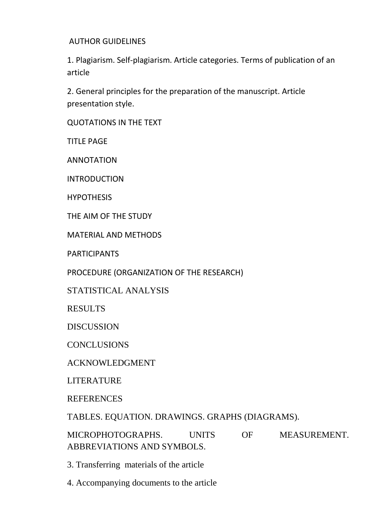AUTHOR GUIDELINES

1. Plagiarism. Self-plagiarism. Article categories. Terms of publication of an article

2. General principles for the preparation of the manuscript. Article presentation style.

QUOTATIONS IN THE TEXT

TITLE PAGE

ANNOTATION

INTRODUCTION

HYPOTHESIS

THE AIM OF THE STUDY

MATERIAL AND METHODS

PARTICIPANTS

PROCEDURE (ORGANIZATION OF THE RESEARCH)

STATISTICAL ANALYSIS

RESULTS

DISCUSSION

**CONCLUSIONS** 

ACKNOWLEDGMENT

LITERATURE

**REFERENCES** 

TABLES. EQUATION. DRAWINGS. GRAPHS (DIAGRAMS).

MICROPHOTOGRAPHS. UNITS OF MEASUREMENT. ABBREVIATIONS AND SYMBOLS.

3. Transferring materials of the article

4. Accompanying documents to the article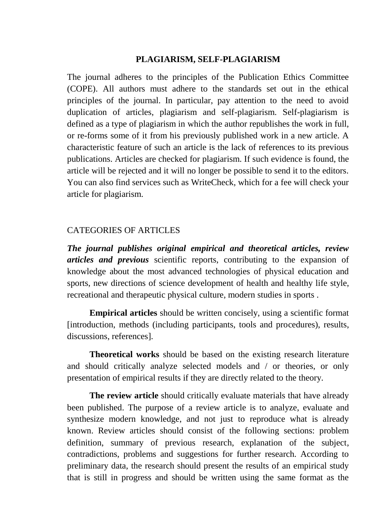## **PLAGIARISM, SELF-PLAGIARISM**

The journal adheres to the principles of the Publication Ethics Committee (COPE). All authors must adhere to the standards set out in the ethical principles of the journal. In particular, pay attention to the need to avoid duplication of articles, plagiarism and self-plagiarism. Self-plagiarism is defined as a type of plagiarism in which the author republishes the work in full, or re-forms some of it from his previously published work in a new article. A characteristic feature of such an article is the lack of references to its previous publications. Articles are checked for plagiarism. If such evidence is found, the article will be rejected and it will no longer be possible to send it to the editors. You can also find services such as WriteCheck, which for a fee will check your article for plagiarism.

## CATEGORIES OF ARTICLES

*The journal publishes original empirical and theoretical articles, review articles and previous* scientific reports, contributing to the expansion of knowledge about the most advanced technologies of physical education and sports, new directions of science development of health and healthy life style, recreational and therapeutic physical culture, modern studies in sports .

**Empirical articles** should be written concisely, using a scientific format [introduction, methods (including participants, tools and procedures), results, discussions, references].

**Theoretical works** should be based on the existing research literature and should critically analyze selected models and / or theories, or only presentation of empirical results if they are directly related to the theory.

**The review article** should critically evaluate materials that have already been published. The purpose of a review article is to analyze, evaluate and synthesize modern knowledge, and not just to reproduce what is already known. Review articles should consist of the following sections: problem definition, summary of previous research, explanation of the subject, contradictions, problems and suggestions for further research. According to preliminary data, the research should present the results of an empirical study that is still in progress and should be written using the same format as the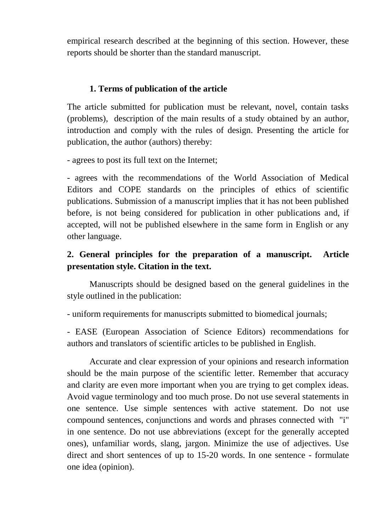empirical research described at the beginning of this section. However, these reports should be shorter than the standard manuscript.

# **1. Terms of publication of the article**

The article submitted for publication must be relevant, novel, contain tasks (problems), description of the main results of a study obtained by an author, introduction and comply with the rules of design. Presenting the article for publication, the author (authors) thereby:

- agrees to post its full text on the Internet;

- agrees with the recommendations of the World Association of Medical Editors and COPE standards on the principles of ethics of scientific publications. Submission of a manuscript implies that it has not been published before, is not being considered for publication in other publications and, if accepted, will not be published elsewhere in the same form in English or any other language.

# **2. General principles for the preparation of a manuscript. Article presentation style. Citation in the text.**

Manuscripts should be designed based on the general guidelines in the style outlined in the publication:

- uniform requirements for manuscripts submitted to biomedical journals;

- EASE (European Association of Science Editors) recommendations for authors and translators of scientific articles to be published in English.

Accurate and clear expression of your opinions and research information should be the main purpose of the scientific letter. Remember that accuracy and clarity are even more important when you are trying to get complex ideas. Avoid vague terminology and too much prose. Do not use several statements in one sentence. Use simple sentences with active statement. Do not use compound sentences, conjunctions and words and phrases connected with "i" in one sentence. Do not use abbreviations (except for the generally accepted ones), unfamiliar words, slang, jargon. Minimize the use of adjectives. Use direct and short sentences of up to 15-20 words. In one sentence - formulate one idea (opinion).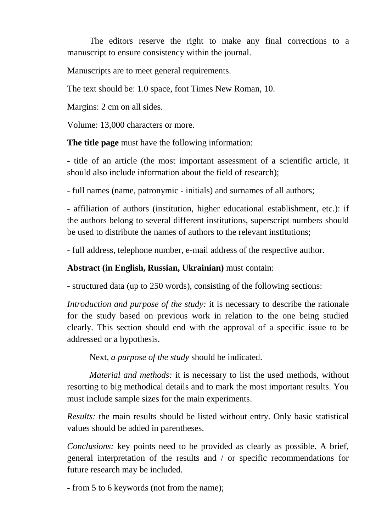The editors reserve the right to make any final corrections to a manuscript to ensure consistency within the journal.

Manuscripts are to meet general requirements.

The text should be: 1.0 space, font Times New Roman, 10.

Margins: 2 cm on all sides.

Volume: 13,000 characters or more.

**The title page** must have the following information:

- title of an article (the most important assessment of a scientific article, it should also include information about the field of research);

- full names (name, patronymic - initials) and surnames of all authors;

- affiliation of authors (institution, higher educational establishment, etc.): if the authors belong to several different institutions, superscript numbers should be used to distribute the names of authors to the relevant institutions;

- full address, telephone number, e-mail address of the respective author.

**Abstract (in English, Russian, Ukrainian)** must contain:

- structured data (up to 250 words), consisting of the following sections:

*Introduction and purpose of the study:* it is necessary to describe the rationale for the study based on previous work in relation to the one being studied clearly. This section should end with the approval of a specific issue to be addressed or a hypothesis.

Next, *a purpose of the study* should be indicated.

*Material and methods:* it is necessary to list the used methods, without resorting to big methodical details and to mark the most important results. You must include sample sizes for the main experiments.

*Results:* the main results should be listed without entry. Only basic statistical values should be added in parentheses.

*Conclusions:* key points need to be provided as clearly as possible. A brief, general interpretation of the results and / or specific recommendations for future research may be included.

- from 5 to 6 keywords (not from the name);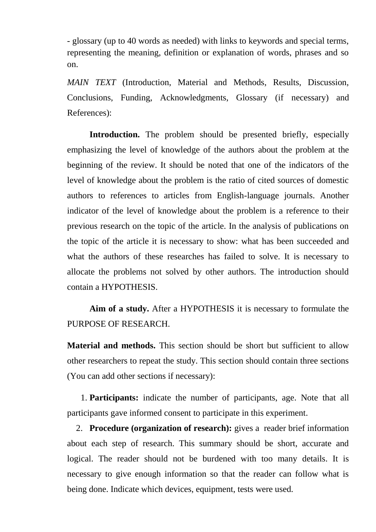- glossary (up to 40 words as needed) with links to keywords and special terms, representing the meaning, definition or explanation of words, phrases and so on.

*MAIN TEXT* (Introduction, Material and Methods, Results, Discussion, Conclusions, Funding, Acknowledgments, Glossary (if necessary) and References):

**Introduction.** The problem should be presented briefly, especially emphasizing the level of knowledge of the authors about the problem at the beginning of the review. It should be noted that one of the indicators of the level of knowledge about the problem is the ratio of cited sources of domestic authors to references to articles from English-language journals. Another indicator of the level of knowledge about the problem is a reference to their previous research on the topic of the article. In the analysis of publications on the topic of the article it is necessary to show: what has been succeeded and what the authors of these researches has failed to solve. It is necessary to allocate the problems not solved by other authors. The introduction should contain a HYPOTHESIS.

**Aim of a study.** After a HYPOTHESIS it is necessary to formulate the PURPOSE OF RESEARCH.

**Material and methods.** This section should be short but sufficient to allow other researchers to repeat the study. This section should contain three sections (You can add other sections if necessary):

1. **Participants:** indicate the number of participants, age. Note that all participants gave informed consent to participate in this experiment.

2. **Procedure (organization of research):** gives a reader brief information about each step of research. This summary should be short, accurate and logical. The reader should not be burdened with too many details. It is necessary to give enough information so that the reader can follow what is being done. Indicate which devices, equipment, tests were used.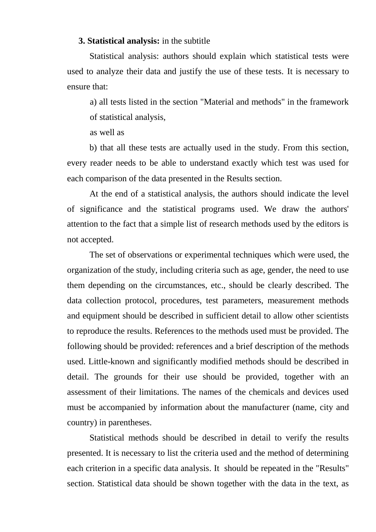#### **3. Statistical analysis:** in the subtitle

Statistical analysis: authors should explain which statistical tests were used to analyze their data and justify the use of these tests. It is necessary to ensure that:

a) all tests listed in the section "Material and methods" in the framework of statistical analysis,

as well as

b) that all these tests are actually used in the study. From this section, every reader needs to be able to understand exactly which test was used for each comparison of the data presented in the Results section.

At the end of a statistical analysis, the authors should indicate the level of significance and the statistical programs used. We draw the authors' attention to the fact that a simple list of research methods used by the editors is not accepted.

The set of observations or experimental techniques which were used, the organization of the study, including criteria such as age, gender, the need to use them depending on the circumstances, etc., should be clearly described. The data collection protocol, procedures, test parameters, measurement methods and equipment should be described in sufficient detail to allow other scientists to reproduce the results. References to the methods used must be provided. The following should be provided: references and a brief description of the methods used. Little-known and significantly modified methods should be described in detail. The grounds for their use should be provided, together with an assessment of their limitations. The names of the chemicals and devices used must be accompanied by information about the manufacturer (name, city and country) in parentheses.

Statistical methods should be described in detail to verify the results presented. It is necessary to list the criteria used and the method of determining each criterion in a specific data analysis. It should be repeated in the "Results" section. Statistical data should be shown together with the data in the text, as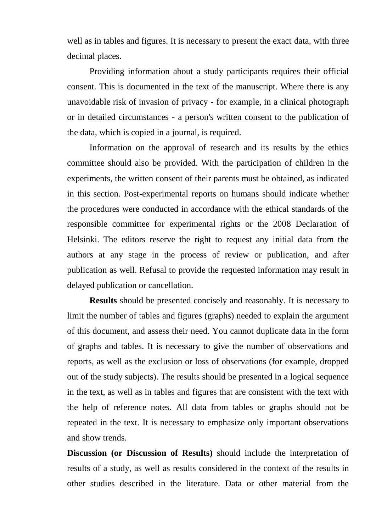well as in tables and figures. It is necessary to present the exact data, with three decimal places.

Providing information about a study participants requires their official consent. This is documented in the text of the manuscript. Where there is any unavoidable risk of invasion of privacy - for example, in a clinical photograph or in detailed circumstances - a person's written consent to the publication of the data, which is copied in a journal, is required.

Information on the approval of research and its results by the ethics committee should also be provided. With the participation of children in the experiments, the written consent of their parents must be obtained, as indicated in this section. Post-experimental reports on humans should indicate whether the procedures were conducted in accordance with the ethical standards of the responsible committee for experimental rights or the 2008 Declaration of Helsinki. The editors reserve the right to request any initial data from the authors at any stage in the process of review or publication, and after publication as well. Refusal to provide the requested information may result in delayed publication or cancellation.

**Results** should be presented concisely and reasonably. It is necessary to limit the number of tables and figures (graphs) needed to explain the argument of this document, and assess their need. You cannot duplicate data in the form of graphs and tables. It is necessary to give the number of observations and reports, as well as the exclusion or loss of observations (for example, dropped out of the study subjects). The results should be presented in a logical sequence in the text, as well as in tables and figures that are consistent with the text with the help of reference notes. All data from tables or graphs should not be repeated in the text. It is necessary to emphasize only important observations and show trends.

**Discussion (or Discussion of Results)** should include the interpretation of results of a study, as well as results considered in the context of the results in other studies described in the literature. Data or other material from the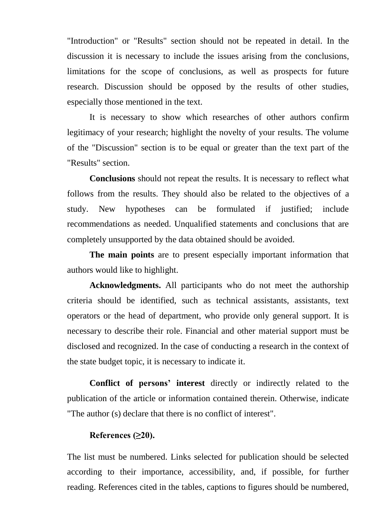"Introduction" or "Results" section should not be repeated in detail. In the discussion it is necessary to include the issues arising from the conclusions, limitations for the scope of conclusions, as well as prospects for future research. Discussion should be opposed by the results of other studies, especially those mentioned in the text.

It is necessary to show which researches of other authors confirm legitimacy of your research; highlight the novelty of your results. The volume of the "Discussion" section is to be equal or greater than the text part of the "Results" section.

**Conclusions** should not repeat the results. It is necessary to reflect what follows from the results. They should also be related to the objectives of a study. New hypotheses can be formulated if justified; include recommendations as needed. Unqualified statements and conclusions that are completely unsupported by the data obtained should be avoided.

**The main points** are to present especially important information that authors would like to highlight.

**Acknowledgments.** All participants who do not meet the authorship criteria should be identified, such as technical assistants, assistants, text operators or the head of department, who provide only general support. It is necessary to describe their role. Financial and other material support must be disclosed and recognized. In the case of conducting a research in the context of the state budget topic, it is necessary to indicate it.

**Conflict of persons' interest** directly or indirectly related to the publication of the article or information contained therein. Otherwise, indicate "The author (s) declare that there is no conflict of interest".

#### **References (≥20).**

The list must be numbered. Links selected for publication should be selected according to their importance, accessibility, and, if possible, for further reading. References cited in the tables, captions to figures should be numbered,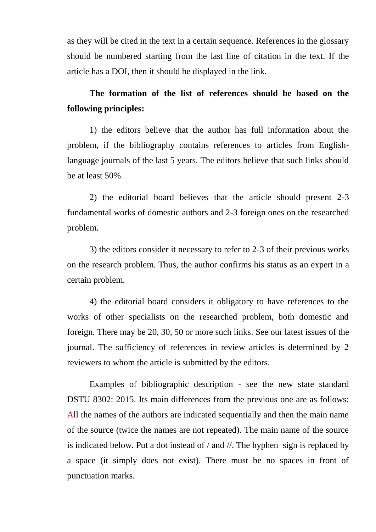as they will be cited in the text in a certain sequence. References in the glossary should be numbered starting from the last line of citation in the text. If the article has a DOI, then it should be displayed in the link.

# **The formation of the list of references should be based on the following principles:**

1) the editors believe that the author has full information about the problem, if the bibliography contains references to articles from Englishlanguage journals of the last 5 years. The editors believe that such links should be at least 50%.

2) the editorial board believes that the article should present 2-3 fundamental works of domestic authors and 2-3 foreign ones on the researched problem.

3) the editors consider it necessary to refer to 2-3 of their previous works on the research problem. Thus, the author confirms his status as an expert in a certain problem.

4) the editorial board considers it obligatory to have references to the works of other specialists on the researched problem, both domestic and foreign. There may be 20, 30, 50 or more such links. See our latest issues of the journal. The sufficiency of references in review articles is determined by 2 reviewers to whom the article is submitted by the editors.

Examples of bibliographic description - see the new state standard DSTU 8302: 2015. Its main differences from the previous one are as follows: All the names of the authors are indicated sequentially and then the main name of the source (twice the names are not repeated). The main name of the source is indicated below. Put a dot instead of / and //. The hyphen sign is replaced by a space (it simply does not exist). There must be no spaces in front of punctuation marks.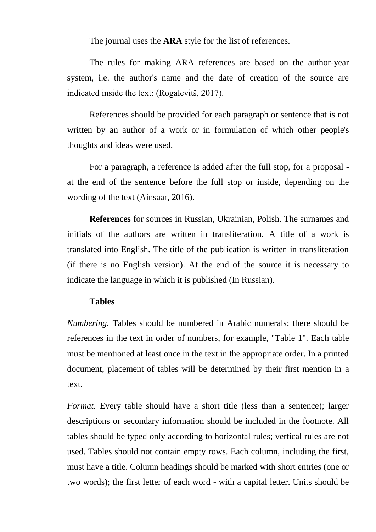The journal uses the **ARA** style for the list of references.

The rules for making ARA references are based on the author-year system, i.e. the author's name and the date of creation of the source are indicated inside the text: (Rogalevitš, 2017).

References should be provided for each paragraph or sentence that is not written by an author of a work or in formulation of which other people's thoughts and ideas were used.

For a paragraph, a reference is added after the full stop, for a proposal at the end of the sentence before the full stop or inside, depending on the wording of the text (Ainsaar, 2016).

**References** for sources in Russian, Ukrainian, Polish. The surnames and initials of the authors are written in transliteration. A title of a work is translated into English. The title of the publication is written in transliteration (if there is no English version). At the end of the source it is necessary to indicate the language in which it is published (In Russian).

### **Tables**

*Numbering.* Tables should be numbered in Arabic numerals; there should be references in the text in order of numbers, for example, "Table 1". Each table must be mentioned at least once in the text in the appropriate order. In a printed document, placement of tables will be determined by their first mention in a text.

*Format.* Every table should have a short title (less than a sentence); larger descriptions or secondary information should be included in the footnote. All tables should be typed only according to horizontal rules; vertical rules are not used. Tables should not contain empty rows. Each column, including the first, must have a title. Column headings should be marked with short entries (one or two words); the first letter of each word - with a capital letter. Units should be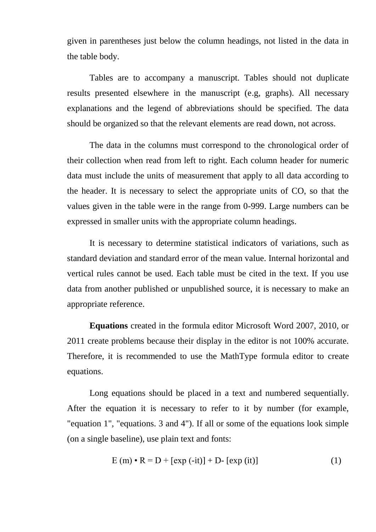given in parentheses just below the column headings, not listed in the data in the table body.

Tables are to accompany a manuscript. Tables should not duplicate results presented elsewhere in the manuscript (e.g, graphs). All necessary explanations and the legend of abbreviations should be specified. The data should be organized so that the relevant elements are read down, not across.

The data in the columns must correspond to the chronological order of their collection when read from left to right. Each column header for numeric data must include the units of measurement that apply to all data according to the header. It is necessary to select the appropriate units of CO, so that the values given in the table were in the range from 0-999. Large numbers can be expressed in smaller units with the appropriate column headings.

It is necessary to determine statistical indicators of variations, such as standard deviation and standard error of the mean value. Internal horizontal and vertical rules cannot be used. Each table must be cited in the text. If you use data from another published or unpublished source, it is necessary to make an appropriate reference.

**Equations** created in the formula editor Microsoft Word 2007, 2010, or 2011 create problems because their display in the editor is not 100% accurate. Therefore, it is recommended to use the MathType formula editor to create equations.

Long equations should be placed in a text and numbered sequentially. After the equation it is necessary to refer to it by number (for example, "equation 1", "equations. 3 and 4"). If all or some of the equations look simple (on a single baseline), use plain text and fonts:

$$
E(m) \cdot R = D + [exp(-it)] + D - [exp(it)] \qquad (1)
$$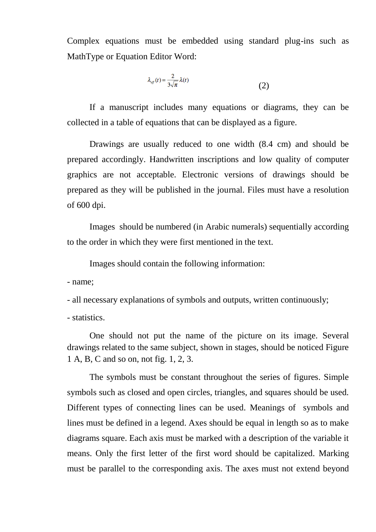Complex equations must be embedded using standard plug-ins such as MathType or Equation Editor Word:

$$
\lambda_{\text{eff}}(t) = \frac{2}{3\sqrt{\pi}} \lambda(t) \tag{2}
$$

If a manuscript includes many equations or diagrams, they can be collected in a table of equations that can be displayed as a figure.

Drawings are usually reduced to one width (8.4 cm) and should be prepared accordingly. Handwritten inscriptions and low quality of computer graphics are not acceptable. Electronic versions of drawings should be prepared as they will be published in the journal. Files must have a resolution of 600 dpi.

Images should be numbered (in Arabic numerals) sequentially according to the order in which they were first mentioned in the text.

Images should contain the following information:

- name;

- all necessary explanations of symbols and outputs, written continuously;

- statistics.

One should not put the name of the picture on its image. Several drawings related to the same subject, shown in stages, should be noticed Figure 1 A, B, C and so on, not fig. 1, 2, 3.

The symbols must be constant throughout the series of figures. Simple symbols such as closed and open circles, triangles, and squares should be used. Different types of connecting lines can be used. Meanings of symbols and lines must be defined in a legend. Axes should be equal in length so as to make diagrams square. Each axis must be marked with a description of the variable it means. Only the first letter of the first word should be capitalized. Marking must be parallel to the corresponding axis. The axes must not extend beyond